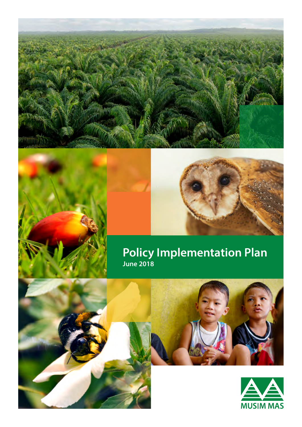

## **Policy Implementation Plan June 2018**



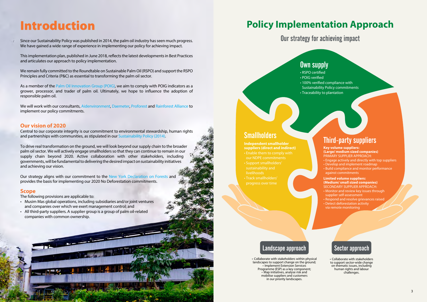This implementation plan, published in June 2018, reflects the latest developments in Best Practices and articulates our approach to policy implementation.

As a member of the [Palm Oil Innovation Group \(POIG\)](http://poig.org/), we aim to comply with POIG indicators as a grower, processor, and trader of palm oil. Ultimately, we hope to influence the adoption of responsible palm oil.

We remain fully committed to the Roundtable on Sustainable Palm Oil (RSPO) and support the RSPO Principles and Criteria (P&C) as essential to transforming the palm oil sector.

We will work with our consultants, [Aidenvironment](http://www.aidenvironment.org/), [Daemeter,](http://daemeter.org/en/home) [Proforest](https://www.proforest.net/en) and [Rainforest Alliance](https://www.rainforest-alliance.org/) to implement our policy commitments.

### **Our vision of 2020**

Central to our corporate integrity is our commitment to environmental stewardship, human rights and partnerships with communities, as stipulated in our [Sustainability Policy \(2014\)](http://www.musimmas.com/qws/slot/u50045/style/Sustainability/2.%20Sustainability%20Policy/Sustainability%20Policy%20English%20-%20August%202017.pdf).

To drive real transformation on the ground, we will look beyond our supply chain to the broader palm oil sector. We will actively engage smallholders so that they can continue to remain in our supply chain beyond 2020. Active collaboration with other stakeholders, including governments, will be fundamental to delivering the desired impact on sustainability initiatives and achieving our vision.

Our strategy aligns with our commitment to the [New York Declaration](http://www.musimmas.com/sustainability/stakeholder-collaboration/non-governmental-organisations/un-climate-summit) on Forests and provides the basis for implementing our 2020 No Deforestation commitments.

### **Scope**

The following provisions are applicable to:

- Musim Mas global operations, including subsidiaries and/or joint ventures and companies over which we exert management control; and
- All third-party suppliers. A supplier group is a group of palm oil-related companies with common ownership.

## Introduction

Since our Sustainability Policy was published in 2014, the palm oil industry has seen much progress. We have gained a wide range of experience in implementing our policy for achieving impact.

• RSPO certified

• POIG verified • 100% verified compliance with Sustainability Policy commitments • Traceability to plantation

**suppliers (direct and indirect)**

- Enable them to comply with our NDPE commitments
- Support smallholders' sustainability and
- Track smallholders' progress over time

### Own supply

- **Key volume suppliers: (Large/ medium sized companies)** PRIMARY SUPPLIER APPROACH:
- Engage actively and directly with top suppliers
- Develop and implement roadmap
- Build compliance and monitor performance against commitments

### **Limited volume suppliers: (Medium/ small sized companies)** SECONDARY SUPPLIER APPROACH:

- Monitor and review key issues through supplier self-assessment
- Respond and resolve grievances raised • Detect deforestation activity
- via remote monitoring

Our strategy for achieving impact

• Collaborate with stakeholders within physical landscapes to support change on the ground; • Implement Extension Services Programme (ESP) as a key component; • Map initiatives, analyse risk and mobilise suppliers and customers in our priority landscapes.

## Smallholders **Independent smallholder** Third-party suppliers

### Landscape approach

• Collaborate with stakeholders to support sector-wide change on thematic issues, including human rights and labour challenges.

## Sector approach

## **Policy Implementation Approach**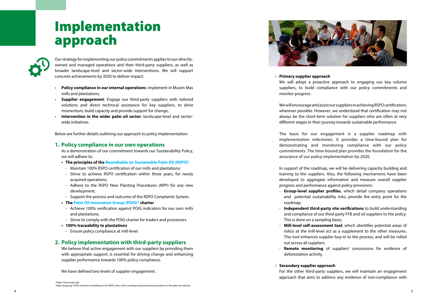# Implementation approach



Our strategy for implementing our policy commitments applies to our directlyowned and managed operations and their third-party suppliers, as well as broader landscape-level and sector-wide interventions. We will support concrete achievements by 2020 to deliver impact:

- **Policy compliance in our internal operations**: implement in Musim Mas mills and plantations;
- **Supplier engagement**: Engage our third-party suppliers with tailored solutions and direct technical assistance for key suppliers, to drive momentum, build capacity and provide support for change;
- **Intervention in the wider palm oil sector**: landscape-level and sectorwide initiatives.

Below are further details outlining our approach to policy implementation:

### **1. Policy compliance in our own operations**

As a demonstration of our commitment towards our Sustainability Policy, we will adhere to:

- **• The principles of the [Roundtable on Sustainable Palm Oil \(RSPO\)](https://www.rspo.org/) 1**
- Maintain 100% RSPO certification of our mills and plantations;
- Strive to achieve RSPO certification within three years, for newly acquired operations;
- Adhere to the RSPO New Planting Procedures (NPP) for any new development;
- Support the process and outcome of the RSPO Complaints System.
- **•** The Palm Oil Innovation Group (POIG)<sup>2</sup> charter
- Achieve 100% verification against POIG indicators for our own mills and plantations;
- Strive to comply with the POIG charter for traders and processors.
- **• 100% traceability to plantations**
	- Ensure policy compliance at mill-level.

### **2. Policy implementation with third-party suppliers**

We believe that active engagement with our suppliers by providing them with appropriate support, is essential for driving change and enhancing supplier performance towards 100% policy compliance.

We have defined two levels of supplier engagement:



• **Primary supplier approach** monitor progress.

We will adopt a proactive approach to engaging our key volume suppliers, to build compliance with our policy commitments and

We will encourage and assist our suppliers in achieving RSPO certification, wherever possible. However, we understand that certification may not always be the short-term solution for suppliers who are often at very different stages in their journey towards sustainable performance.

The basis for our engagement is a supplier roadmap with implementation milestones. It provides a time-bound plan for demonstrating and monitoring compliance with our policy commitments. The time-bound plan provides the foundation for the assurance of our policy implementation by 2020.

In support of the roadmap, we will be delivering capacity building and training to the suppliers. Also, the following mechanisms have been developed to aggregate information and measure overall supplier progress and performance against policy provisions:

- **Group-level supplier profiles**, which detail company operations and potential sustainability risks, provide the entry point for the

- **Independent third-party site verifications** to build understanding and compliance of our third-party FFB and oil suppliers to the policy.

- roadmap;
- This is done on a sampling basis;
- out across all suppliers.
- deforestation activity.

- **Mill-level self-assessment tool**, which identifies potential areas of risk(s) at the mill-level act as a supplement to the other measures. This tool enhances supplier buy-in to the process, and will be rolled

**Remote monitoring** of suppliers' concessions for evidence of

• **Secondary supplier approach** For the other third-party suppliers, we will maintain an engagement approach that aims to address any evidence of non-compliance with

<sup>1</sup> https://www.rspo.org/ 2 http://poig.org/. POIG commits to building on the RSPO rules, and in creating and promoting innovations in the palm oil industry.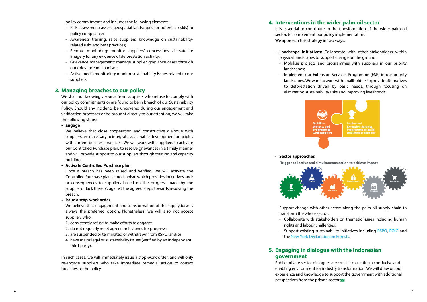### • **Sector approaches**

Support change with other actors along the palm oil supply chain to transform the whole sector.

- rights and labour challenges;
- the [New York Declaration on Forests](http://www.musimmas.com/sustainability/stakeholder-collaboration/non-governmental-organisations/un-climate-summit).

- Collaborate with stakeholders on thematic issues including human

- Support existing sustainability initiatives including [RSPO](https://www.rspo.org/), [POIG](http://poig.org/) and

policy commitments and includes the following elements:

- Risk assessment: assess geospatial landscapes for potential risk(s) to policy compliance;
- Awareness training: raise suppliers' knowledge on sustainabilityrelated risks and best practices;
- Remote monitoring: monitor suppliers' concessions via satellite imagery for any evidence of deforestation activity;
- Grievance management: manage supplier grievance cases through our grievance mechanism;
- Active media monitoring: monitor sustainability issues related to our suppliers.

### **3. Managing breaches to our policy**

We shall not knowingly source from suppliers who refuse to comply with our policy commitments or are found to be in breach of our Sustainability Policy. Should any incidents be uncovered during our engagement and verification processes or be brought directly to our attention, we will take the following steps:

### **• Engage**

We believe that close cooperation and constructive dialogue with suppliers are necessary to integrate sustainable development principles with current business practices. We will work with suppliers to activate our Controlled Purchase plan, to resolve grievances in a timely manner and will provide support to our suppliers through training and capacity building.

### **• Activate Controlled Purchase plan**

Once a breach has been raised and verified, we will activate the Controlled Purchase plan, a mechanism which provides incentives and/ or consequences to suppliers based on the progress made by the supplier or lack thereof, against the agreed steps towards resolving the breach.

**• Issue a stop-work order**

We believe that engagement and transformation of the supply base is always the preferred option. Nonetheless, we will also not accept suppliers who:

- 1. consistently refuse to make efforts to engage;
- 2. do not regularly meet agreed milestones for progress;
- 3. are suspended or terminated or withdrawn from RSPO; and/or
- 4. have major legal or sustainability issues (verified by an independent third-party).

In such cases, we will immediately issue a stop-work order, and will only re-engage suppliers who take immediate remedial action to correct breaches to the policy.



**Trigger collective and simultaneous action to achieve impact**



### **4. Interventions in the wider palm oil sector**

It is essential to contribute to the transformation of the wider palm oil sector, to complement our policy implementation. We approach this strategy in two ways:

• **Landscape initiatives:** Collaborate with other stakeholders within physical landscapes to support change on the ground.

- Mobilise projects and programmes with suppliers in our priority

- 
- landscapes;
- 

- Implement our Extension Services Programme (ESP) in our priority landscapes. We want to work with smallholders to provide alternatives to deforestation driven by basic needs, through focusing on eliminating sustainability risks and improving livelihoods.

### **5. Engaging in dialogue with the Indonesian government**

Public-private sector dialogues are crucial to creating a conducive and enabling environment for industry transformation. We will draw on our experience and knowledge to support the government with additional perspectives from the private sector.